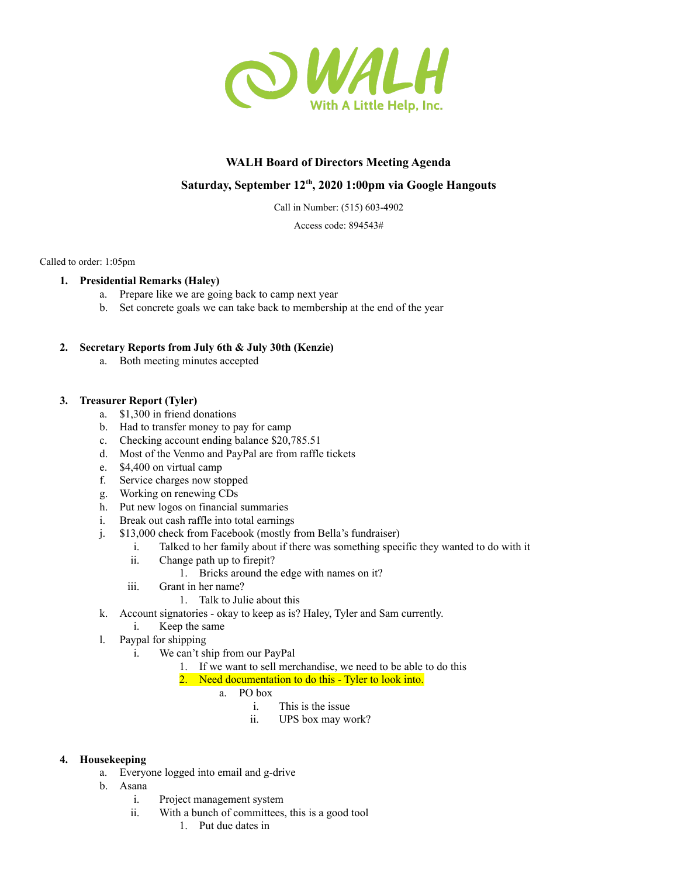

# **WALH Board of Directors Meeting Agenda**

# **Saturday, September 12 th , 2020 1:00pm via Google Hangouts**

Call in Number: (515) 603-4902

Access code: 894543#

Called to order: 1:05pm

## **1. Presidential Remarks (Haley)**

- a. Prepare like we are going back to camp next year
- b. Set concrete goals we can take back to membership at the end of the year

## **2. Secretary Reports from July 6th & July 30th (Kenzie)**

a. Both meeting minutes accepted

#### **3. Treasurer Report (Tyler)**

- a. \$1,300 in friend donations
- b. Had to transfer money to pay for camp
- c. Checking account ending balance \$20,785.51
- d. Most of the Venmo and PayPal are from raffle tickets
- e. \$4,400 on virtual camp
- f. Service charges now stopped
- g. Working on renewing CDs
- h. Put new logos on financial summaries
- i. Break out cash raffle into total earnings
- j. \$13,000 check from Facebook (mostly from Bella's fundraiser)
	- i. Talked to her family about if there was something specific they wanted to do with it
	- ii. Change path up to firepit?
		- 1. Bricks around the edge with names on it?
	- iii. Grant in her name?
		- 1. Talk to Julie about this
- k. Account signatories okay to keep as is? Haley, Tyler and Sam currently.
	- i. Keep the same
- l. Paypal for shipping
	- i. We can't ship from our PayPal
		- 1. If we want to sell merchandise, we need to be able to do this
		- 2. Need documentation to do this Tyler to look into.
			- a. PO box
				- i. This is the issue
				- ii. UPS box may work?

#### **4. Housekeeping**

- a. Everyone logged into email and g-drive
- b. Asana
	- i. Project management system
	- ii. With a bunch of committees, this is a good tool
		- 1. Put due dates in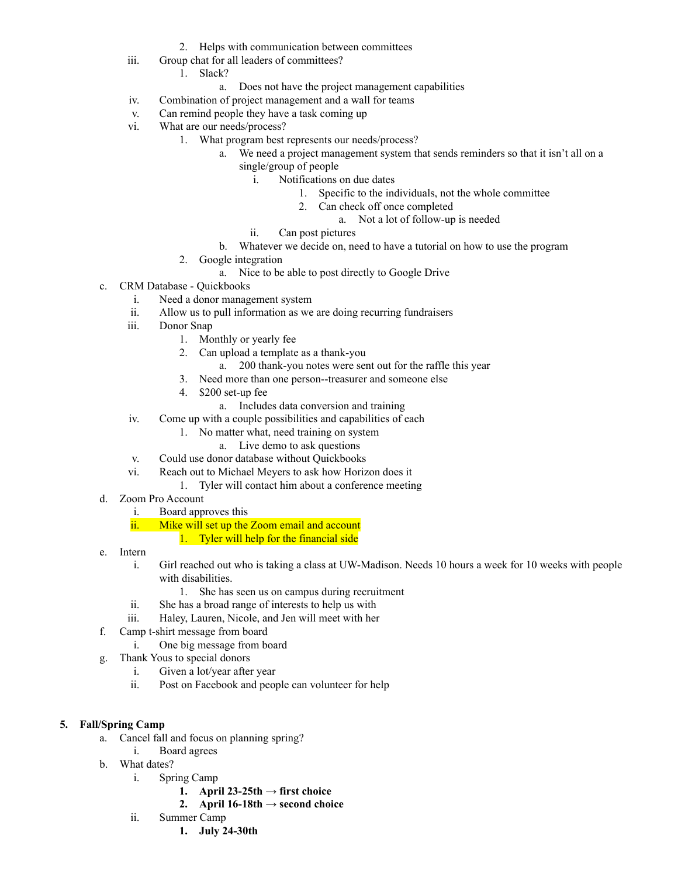- 2. Helps with communication between committees
- iii. Group chat for all leaders of committees?
	- 1. Slack?
		- a. Does not have the project management capabilities
- iv. Combination of project management and a wall for teams
- v. Can remind people they have a task coming up
- vi. What are our needs/process?
	- 1. What program best represents our needs/process?
		- a. We need a project management system that sends reminders so that it isn't all on a single/group of people
			- i. Notifications on due dates
				- 1. Specific to the individuals, not the whole committee
				- 2. Can check off once completed
					- a. Not a lot of follow-up is needed
			- ii. Can post pictures
		- b. Whatever we decide on, need to have a tutorial on how to use the program
	- 2. Google integration
		- a. Nice to be able to post directly to Google Drive
- c. CRM Database Quickbooks
	- i. Need a donor management system
	- ii. Allow us to pull information as we are doing recurring fundraisers
	- iii. Donor Snap
		- 1. Monthly or yearly fee
		- 2. Can upload a template as a thank-you
			- a. 200 thank-you notes were sent out for the raffle this year
		- 3. Need more than one person--treasurer and someone else
		- 4. \$200 set-up fee
			- a. Includes data conversion and training
	- iv. Come up with a couple possibilities and capabilities of each
		- 1. No matter what, need training on system
			- a. Live demo to ask questions
	- v. Could use donor database without Quickbooks
	- vi. Reach out to Michael Meyers to ask how Horizon does it
		- 1. Tyler will contact him about a conference meeting
- d. Zoom Pro Account
	- i. Board approves this
	- ii. Mike will set up the Zoom email and account
		- 1. Tyler will help for the financial side
- e. Intern
	- i. Girl reached out who is taking a class at UW-Madison. Needs 10 hours a week for 10 weeks with people with disabilities.
		- 1. She has seen us on campus during recruitment
	- ii. She has a broad range of interests to help us with
	- iii. Haley, Lauren, Nicole, and Jen will meet with her
- f. Camp t-shirt message from board
	- i. One big message from board
- g. Thank Yous to special donors
	- i. Given a lot/year after year
	- ii. Post on Facebook and people can volunteer for help

#### **5. Fall/Spring Camp**

- a. Cancel fall and focus on planning spring?
	- i. Board agrees
- b. What dates?
	- i. Spring Camp
		- **1. April**  $23-25$ th  $\rightarrow$  first choice
		- **2. April**  $16-18$ th  $\rightarrow$  **second** choice
	- ii. Summer Camp
		- **1. July 24-30th**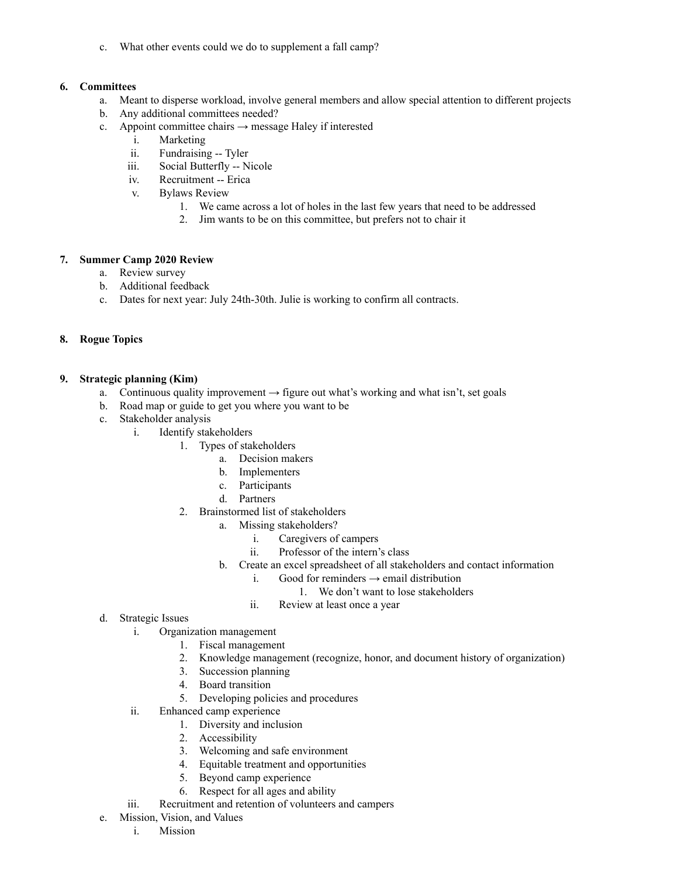c. What other events could we do to supplement a fall camp?

### **6. Committees**

- a. Meant to disperse workload, involve general members and allow special attention to different projects
- b. Any additional committees needed?
- c. Appoint committee chairs  $\rightarrow$  message Haley if interested
	- i. Marketing
	- ii. Fundraising -- Tyler
	- iii. Social Butterfly -- Nicole
	- iv. Recruitment -- Erica
	- v. Bylaws Review
		- 1. We came across a lot of holes in the last few years that need to be addressed
		- 2. Jim wants to be on this committee, but prefers not to chair it

## **7. Summer Camp 2020 Review**

- a. Review survey
- b. Additional feedback
- c. Dates for next year: July 24th-30th. Julie is working to confirm all contracts.

#### **8. Rogue Topics**

#### **9. Strategic planning (Kim)**

- a. Continuous quality improvement  $\rightarrow$  figure out what's working and what isn't, set goals
- b. Road map or guide to get you where you want to be
- c. Stakeholder analysis
	- i. Identify stakeholders
		- 1. Types of stakeholders
			- a. Decision makers
			- b. Implementers
			- c. Participants
			- d. Partners
		- 2. Brainstormed list of stakeholders
			- a. Missing stakeholders?
				- i. Caregivers of campers
				- ii. Professor of the intern's class
			- b. Create an excel spreadsheet of all stakeholders and contact information
				- i. Good for reminders  $\rightarrow$  email distribution
					- 1. We don't want to lose stakeholders
				- ii. Review at least once a year
- d. Strategic Issues
	- i. Organization management
		- 1. Fiscal management
		- 2. Knowledge management (recognize, honor, and document history of organization)
		- 3. Succession planning
		- 4. Board transition
		- 5. Developing policies and procedures
	- ii. Enhanced camp experience
		- 1. Diversity and inclusion
			- 2. Accessibility
			- 3. Welcoming and safe environment
			- 4. Equitable treatment and opportunities
			- 5. Beyond camp experience
			- 6. Respect for all ages and ability
	- iii. Recruitment and retention of volunteers and campers
- e. Mission, Vision, and Values
	- i. Mission